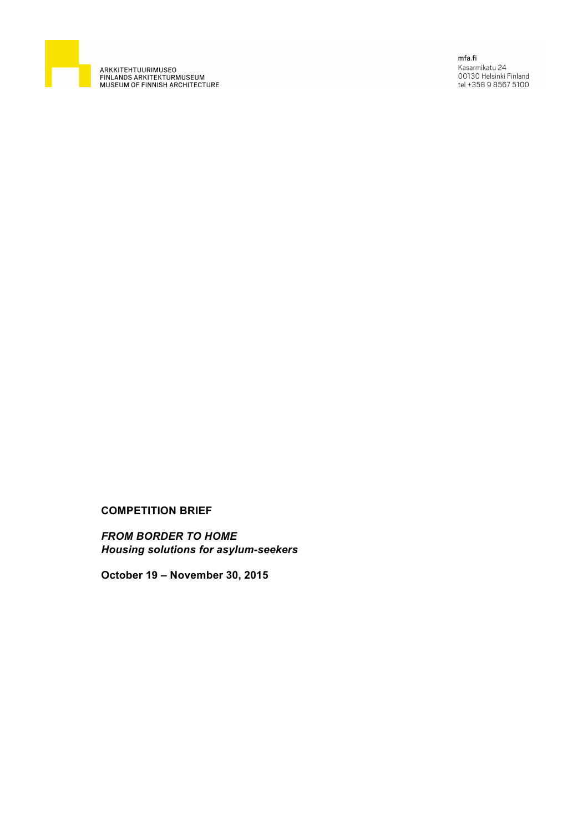

ARKKITEHTUURIMUSEO<br>FINLANDS ARKITEKTURMUSEUM<br>MUSEUM OF FINNISH ARCHITECTURE

mfa.fi .........<br>Kasarmikatu 24<br>00130 Helsinki Finland<br>tel +358 9 8567 5100

# **COMPETITION BRIEF**

*FROM BORDER TO HOME Housing solutions for asylum-seekers*

**October 19 – November 30, 2015**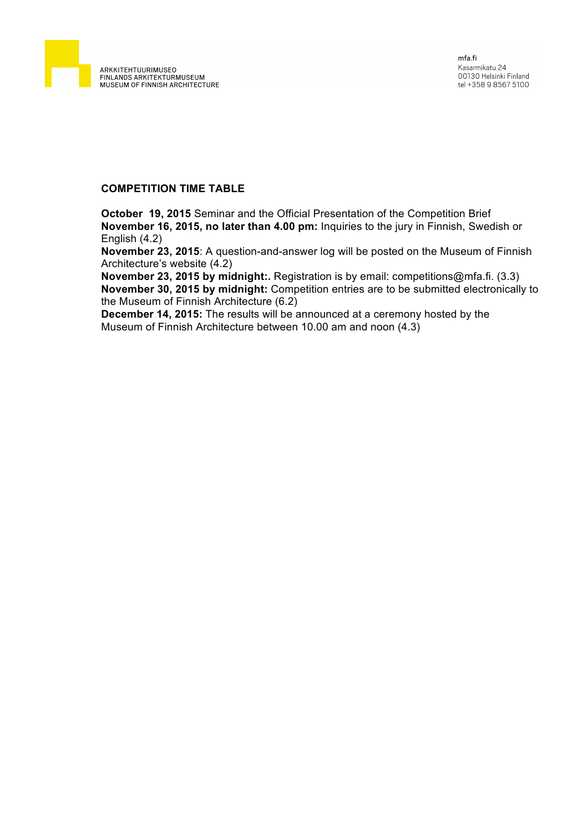

### **COMPETITION TIME TABLE**

**October 19, 2015** Seminar and the Official Presentation of the Competition Brief **November 16, 2015, no later than 4.00 pm:** Inquiries to the jury in Finnish, Swedish or English (4.2)

**November 23, 2015**: A question-and-answer log will be posted on the Museum of Finnish Architecture's website (4.2)

**November 23, 2015 by midnight:.** Registration is by email: competitions@mfa.fi. (3.3) **November 30, 2015 by midnight:** Competition entries are to be submitted electronically to the Museum of Finnish Architecture (6.2)

**December 14, 2015:** The results will be announced at a ceremony hosted by the Museum of Finnish Architecture between 10.00 am and noon (4.3)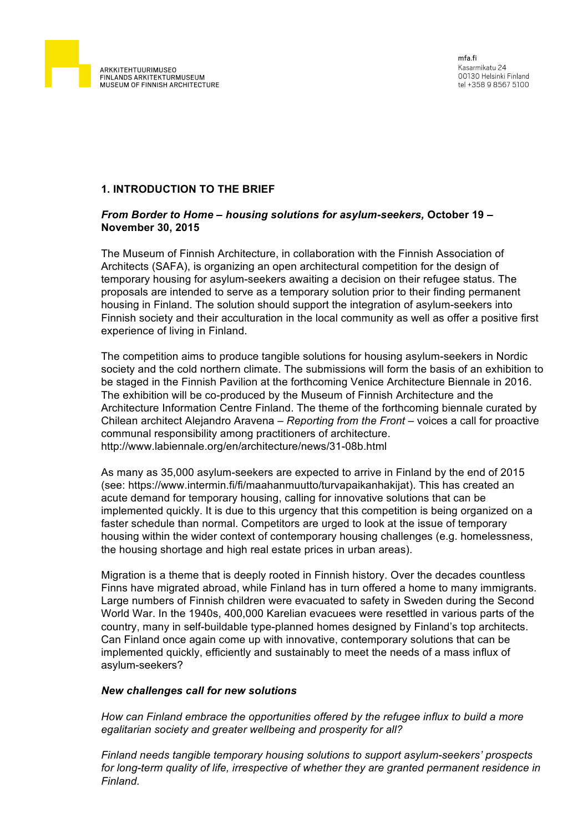

# **1. INTRODUCTION TO THE BRIEF**

### *From Border to Home* **–** *housing solutions for asylum-seekers,* **October 19 – November 30, 2015**

The Museum of Finnish Architecture, in collaboration with the Finnish Association of Architects (SAFA), is organizing an open architectural competition for the design of temporary housing for asylum-seekers awaiting a decision on their refugee status. The proposals are intended to serve as a temporary solution prior to their finding permanent housing in Finland. The solution should support the integration of asylum-seekers into Finnish society and their acculturation in the local community as well as offer a positive first experience of living in Finland.

The competition aims to produce tangible solutions for housing asylum-seekers in Nordic society and the cold northern climate. The submissions will form the basis of an exhibition to be staged in the Finnish Pavilion at the forthcoming Venice Architecture Biennale in 2016. The exhibition will be co-produced by the Museum of Finnish Architecture and the Architecture Information Centre Finland. The theme of the forthcoming biennale curated by Chilean architect Alejandro Aravena – *Reporting from the Front –* voices a call for proactive communal responsibility among practitioners of architecture. http://www.labiennale.org/en/architecture/news/31-08b.html

As many as 35,000 asylum-seekers are expected to arrive in Finland by the end of 2015 (see: https://www.intermin.fi/fi/maahanmuutto/turvapaikanhakijat). This has created an acute demand for temporary housing, calling for innovative solutions that can be implemented quickly. It is due to this urgency that this competition is being organized on a faster schedule than normal. Competitors are urged to look at the issue of temporary housing within the wider context of contemporary housing challenges (e.g. homelessness, the housing shortage and high real estate prices in urban areas).

Migration is a theme that is deeply rooted in Finnish history. Over the decades countless Finns have migrated abroad, while Finland has in turn offered a home to many immigrants. Large numbers of Finnish children were evacuated to safety in Sweden during the Second World War. In the 1940s, 400,000 Karelian evacuees were resettled in various parts of the country, many in self-buildable type-planned homes designed by Finland's top architects. Can Finland once again come up with innovative, contemporary solutions that can be implemented quickly, efficiently and sustainably to meet the needs of a mass influx of asylum-seekers?

#### *New challenges call for new solutions*

*How can Finland embrace the opportunities offered by the refugee influx to build a more egalitarian society and greater wellbeing and prosperity for all?*

*Finland needs tangible temporary housing solutions to support asylum-seekers' prospects for long-term quality of life, irrespective of whether they are granted permanent residence in Finland.*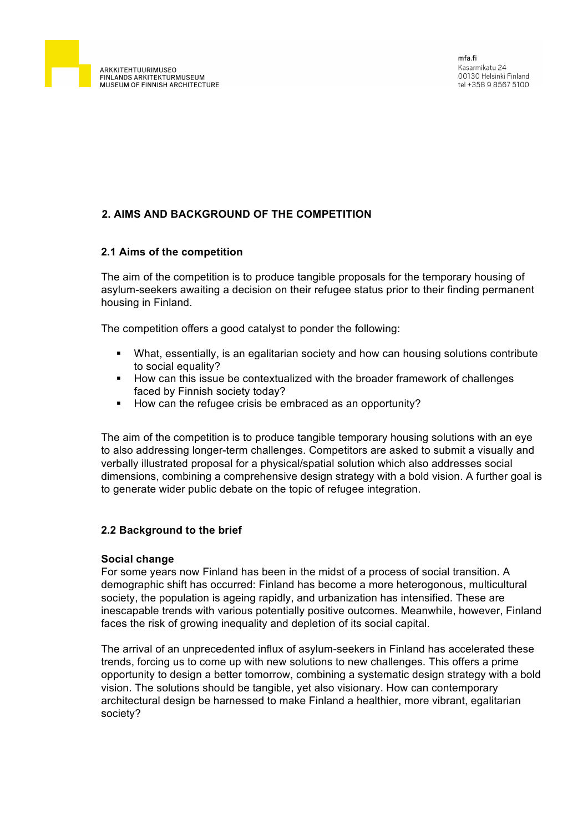

# **2. AIMS AND BACKGROUND OF THE COMPETITION**

# **2.1 Aims of the competition**

The aim of the competition is to produce tangible proposals for the temporary housing of asylum-seekers awaiting a decision on their refugee status prior to their finding permanent housing in Finland.

The competition offers a good catalyst to ponder the following:

- What, essentially, is an egalitarian society and how can housing solutions contribute to social equality?
- § How can this issue be contextualized with the broader framework of challenges faced by Finnish society today?
- § How can the refugee crisis be embraced as an opportunity?

The aim of the competition is to produce tangible temporary housing solutions with an eye to also addressing longer-term challenges. Competitors are asked to submit a visually and verbally illustrated proposal for a physical/spatial solution which also addresses social dimensions, combining a comprehensive design strategy with a bold vision. A further goal is to generate wider public debate on the topic of refugee integration.

# **2.2 Background to the brief**

# **Social change**

For some years now Finland has been in the midst of a process of social transition. A demographic shift has occurred: Finland has become a more heterogonous, multicultural society, the population is ageing rapidly, and urbanization has intensified. These are inescapable trends with various potentially positive outcomes. Meanwhile, however, Finland faces the risk of growing inequality and depletion of its social capital.

The arrival of an unprecedented influx of asylum-seekers in Finland has accelerated these trends, forcing us to come up with new solutions to new challenges. This offers a prime opportunity to design a better tomorrow, combining a systematic design strategy with a bold vision. The solutions should be tangible, yet also visionary. How can contemporary architectural design be harnessed to make Finland a healthier, more vibrant, egalitarian society?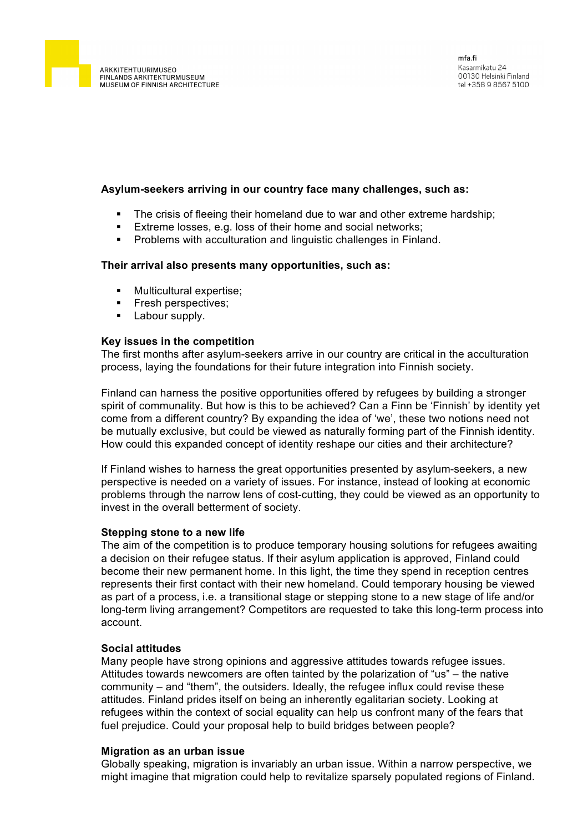

#### **Asylum-seekers arriving in our country face many challenges, such as:**

- The crisis of fleeing their homeland due to war and other extreme hardship;
- **Extreme losses, e.g. loss of their home and social networks;**
- § Problems with acculturation and linguistic challenges in Finland.

#### **Their arrival also presents many opportunities, such as:**

- § Multicultural expertise;
- § Fresh perspectives;
- Labour supply.

#### **Key issues in the competition**

The first months after asylum-seekers arrive in our country are critical in the acculturation process, laying the foundations for their future integration into Finnish society.

Finland can harness the positive opportunities offered by refugees by building a stronger spirit of communality. But how is this to be achieved? Can a Finn be 'Finnish' by identity yet come from a different country? By expanding the idea of 'we', these two notions need not be mutually exclusive, but could be viewed as naturally forming part of the Finnish identity. How could this expanded concept of identity reshape our cities and their architecture?

If Finland wishes to harness the great opportunities presented by asylum-seekers, a new perspective is needed on a variety of issues. For instance, instead of looking at economic problems through the narrow lens of cost-cutting, they could be viewed as an opportunity to invest in the overall betterment of society.

#### **Stepping stone to a new life**

The aim of the competition is to produce temporary housing solutions for refugees awaiting a decision on their refugee status. If their asylum application is approved, Finland could become their new permanent home. In this light, the time they spend in reception centres represents their first contact with their new homeland. Could temporary housing be viewed as part of a process, i.e. a transitional stage or stepping stone to a new stage of life and/or long-term living arrangement? Competitors are requested to take this long-term process into account.

# **Social attitudes**

Many people have strong opinions and aggressive attitudes towards refugee issues. Attitudes towards newcomers are often tainted by the polarization of "us" – the native community – and "them", the outsiders. Ideally, the refugee influx could revise these attitudes. Finland prides itself on being an inherently egalitarian society. Looking at refugees within the context of social equality can help us confront many of the fears that fuel prejudice. Could your proposal help to build bridges between people?

#### **Migration as an urban issue**

Globally speaking, migration is invariably an urban issue. Within a narrow perspective, we might imagine that migration could help to revitalize sparsely populated regions of Finland.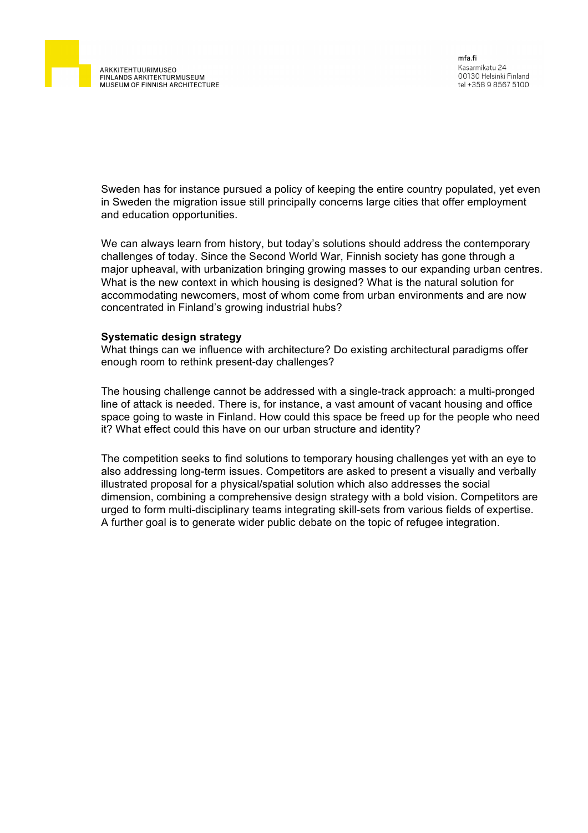

Sweden has for instance pursued a policy of keeping the entire country populated, yet even in Sweden the migration issue still principally concerns large cities that offer employment and education opportunities.

We can always learn from history, but today's solutions should address the contemporary challenges of today. Since the Second World War, Finnish society has gone through a major upheaval, with urbanization bringing growing masses to our expanding urban centres. What is the new context in which housing is designed? What is the natural solution for accommodating newcomers, most of whom come from urban environments and are now concentrated in Finland's growing industrial hubs?

#### **Systematic design strategy**

What things can we influence with architecture? Do existing architectural paradigms offer enough room to rethink present-day challenges?

The housing challenge cannot be addressed with a single-track approach: a multi-pronged line of attack is needed. There is, for instance, a vast amount of vacant housing and office space going to waste in Finland. How could this space be freed up for the people who need it? What effect could this have on our urban structure and identity?

The competition seeks to find solutions to temporary housing challenges yet with an eye to also addressing long-term issues. Competitors are asked to present a visually and verbally illustrated proposal for a physical/spatial solution which also addresses the social dimension, combining a comprehensive design strategy with a bold vision. Competitors are urged to form multi-disciplinary teams integrating skill-sets from various fields of expertise. A further goal is to generate wider public debate on the topic of refugee integration.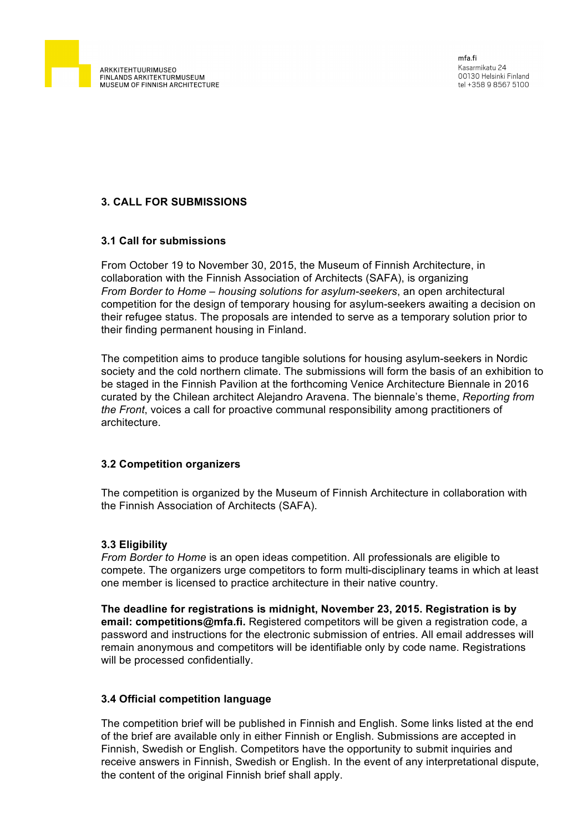

# **3. CALL FOR SUBMISSIONS**

### **3.1 Call for submissions**

From October 19 to November 30, 2015, the Museum of Finnish Architecture, in collaboration with the Finnish Association of Architects (SAFA), is organizing *From Border to Home – housing solutions for asylum-seekers*, an open architectural competition for the design of temporary housing for asylum-seekers awaiting a decision on their refugee status. The proposals are intended to serve as a temporary solution prior to their finding permanent housing in Finland.

The competition aims to produce tangible solutions for housing asylum-seekers in Nordic society and the cold northern climate. The submissions will form the basis of an exhibition to be staged in the Finnish Pavilion at the forthcoming Venice Architecture Biennale in 2016 curated by the Chilean architect Alejandro Aravena. The biennale's theme, *Reporting from the Front*, voices a call for proactive communal responsibility among practitioners of architecture.

#### **3.2 Competition organizers**

The competition is organized by the Museum of Finnish Architecture in collaboration with the Finnish Association of Architects (SAFA).

#### **3.3 Eligibility**

*From Border to Home* is an open ideas competition. All professionals are eligible to compete. The organizers urge competitors to form multi-disciplinary teams in which at least one member is licensed to practice architecture in their native country.

**The deadline for registrations is midnight, November 23, 2015. Registration is by email: competitions@mfa.fi.** Registered competitors will be given a registration code, a password and instructions for the electronic submission of entries. All email addresses will remain anonymous and competitors will be identifiable only by code name. Registrations will be processed confidentially.

# **3.4 Official competition language**

The competition brief will be published in Finnish and English. Some links listed at the end of the brief are available only in either Finnish or English. Submissions are accepted in Finnish, Swedish or English. Competitors have the opportunity to submit inquiries and receive answers in Finnish, Swedish or English. In the event of any interpretational dispute, the content of the original Finnish brief shall apply.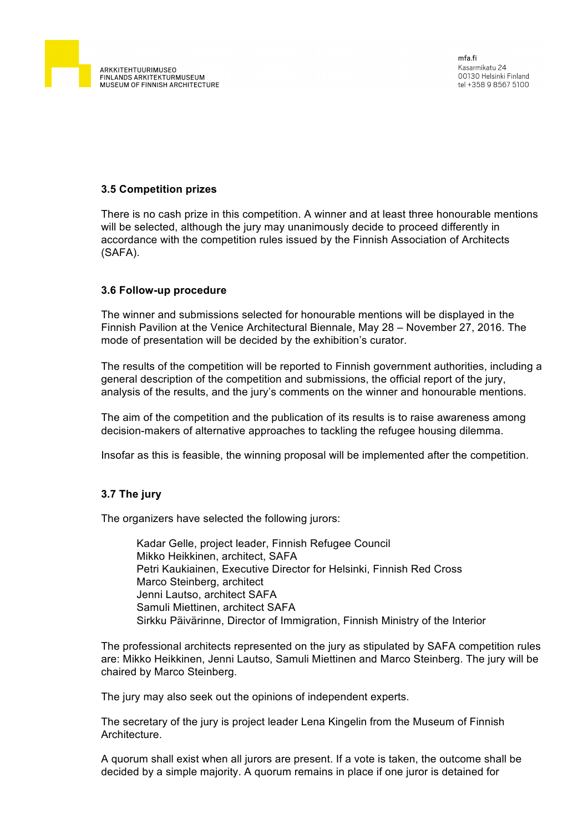

# **3.5 Competition prizes**

There is no cash prize in this competition. A winner and at least three honourable mentions will be selected, although the jury may unanimously decide to proceed differently in accordance with the competition rules issued by the Finnish Association of Architects (SAFA).

#### **3.6 Follow-up procedure**

The winner and submissions selected for honourable mentions will be displayed in the Finnish Pavilion at the Venice Architectural Biennale, May 28 – November 27, 2016. The mode of presentation will be decided by the exhibition's curator.

The results of the competition will be reported to Finnish government authorities, including a general description of the competition and submissions, the official report of the jury, analysis of the results, and the jury's comments on the winner and honourable mentions.

The aim of the competition and the publication of its results is to raise awareness among decision-makers of alternative approaches to tackling the refugee housing dilemma.

Insofar as this is feasible, the winning proposal will be implemented after the competition.

#### **3.7 The jury**

The organizers have selected the following jurors:

Kadar Gelle, project leader, Finnish Refugee Council Mikko Heikkinen, architect, SAFA Petri Kaukiainen, Executive Director for Helsinki, Finnish Red Cross Marco Steinberg, architect Jenni Lautso, architect SAFA Samuli Miettinen, architect SAFA Sirkku Päivärinne, Director of Immigration, Finnish Ministry of the Interior

The professional architects represented on the jury as stipulated by SAFA competition rules are: Mikko Heikkinen, Jenni Lautso, Samuli Miettinen and Marco Steinberg. The jury will be chaired by Marco Steinberg.

The jury may also seek out the opinions of independent experts.

The secretary of the jury is project leader Lena Kingelin from the Museum of Finnish **Architecture** 

A quorum shall exist when all jurors are present. If a vote is taken, the outcome shall be decided by a simple majority. A quorum remains in place if one juror is detained for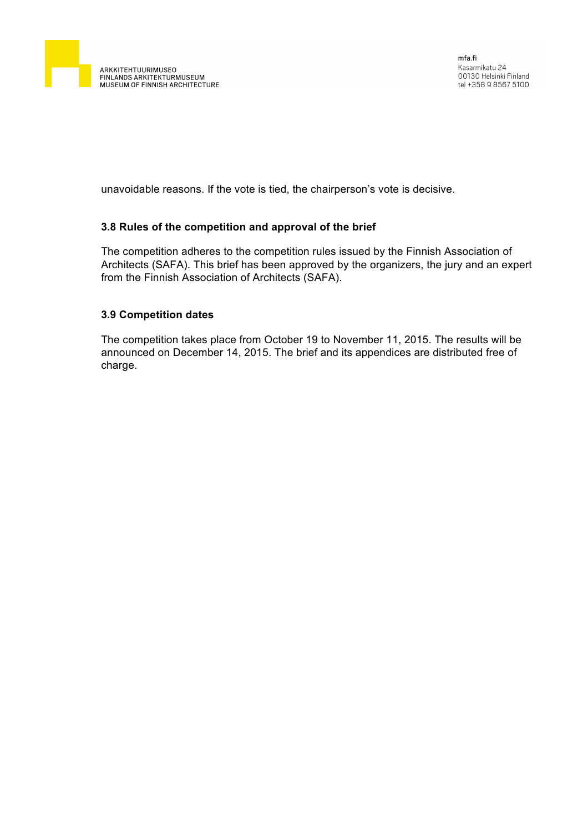

unavoidable reasons. If the vote is tied, the chairperson's vote is decisive.

### **3.8 Rules of the competition and approval of the brief**

The competition adheres to the competition rules issued by the Finnish Association of Architects (SAFA). This brief has been approved by the organizers, the jury and an expert from the Finnish Association of Architects (SAFA).

### **3.9 Competition dates**

The competition takes place from October 19 to November 11, 2015. The results will be announced on December 14, 2015. The brief and its appendices are distributed free of charge.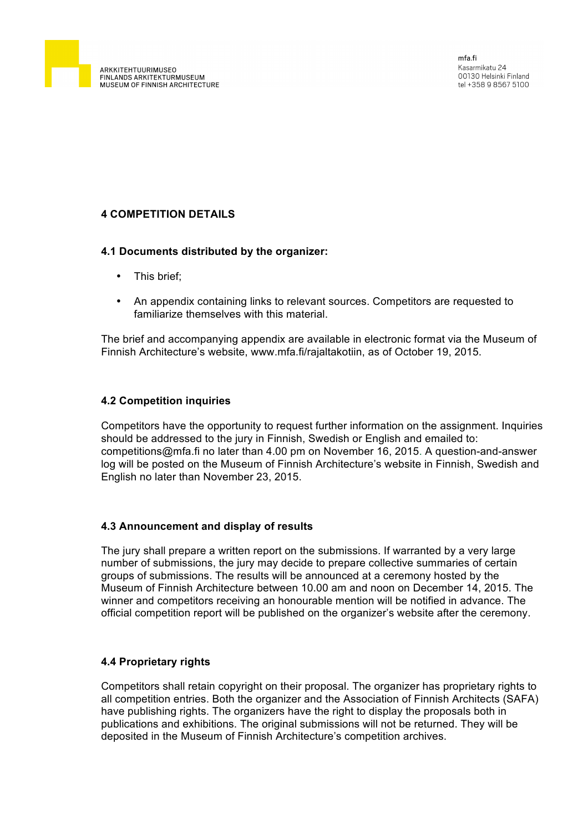

# **4 COMPETITION DETAILS**

### **4.1 Documents distributed by the organizer:**

- This brief;
- An appendix containing links to relevant sources. Competitors are requested to familiarize themselves with this material.

The brief and accompanying appendix are available in electronic format via the Museum of Finnish Architecture's website, www.mfa.fi/rajaltakotiin, as of October 19, 2015.

# **4.2 Competition inquiries**

Competitors have the opportunity to request further information on the assignment. Inquiries should be addressed to the jury in Finnish, Swedish or English and emailed to: competitions@mfa.fi no later than 4.00 pm on November 16, 2015. A question-and-answer log will be posted on the Museum of Finnish Architecture's website in Finnish, Swedish and English no later than November 23, 2015.

# **4.3 Announcement and display of results**

The jury shall prepare a written report on the submissions. If warranted by a very large number of submissions, the jury may decide to prepare collective summaries of certain groups of submissions. The results will be announced at a ceremony hosted by the Museum of Finnish Architecture between 10.00 am and noon on December 14, 2015. The winner and competitors receiving an honourable mention will be notified in advance. The official competition report will be published on the organizer's website after the ceremony.

# **4.4 Proprietary rights**

Competitors shall retain copyright on their proposal. The organizer has proprietary rights to all competition entries. Both the organizer and the Association of Finnish Architects (SAFA) have publishing rights. The organizers have the right to display the proposals both in publications and exhibitions. The original submissions will not be returned. They will be deposited in the Museum of Finnish Architecture's competition archives.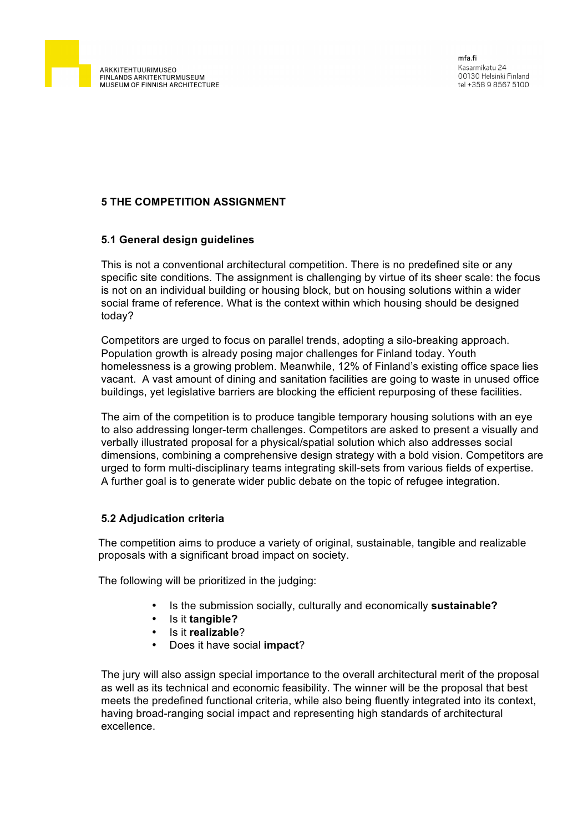

# **5 THE COMPETITION ASSIGNMENT**

### **5.1 General design guidelines**

This is not a conventional architectural competition. There is no predefined site or any specific site conditions. The assignment is challenging by virtue of its sheer scale: the focus is not on an individual building or housing block, but on housing solutions within a wider social frame of reference. What is the context within which housing should be designed today?

Competitors are urged to focus on parallel trends, adopting a silo-breaking approach. Population growth is already posing major challenges for Finland today. Youth homelessness is a growing problem. Meanwhile, 12% of Finland's existing office space lies vacant. A vast amount of dining and sanitation facilities are going to waste in unused office buildings, yet legislative barriers are blocking the efficient repurposing of these facilities.

The aim of the competition is to produce tangible temporary housing solutions with an eye to also addressing longer-term challenges. Competitors are asked to present a visually and verbally illustrated proposal for a physical/spatial solution which also addresses social dimensions, combining a comprehensive design strategy with a bold vision. Competitors are urged to form multi-disciplinary teams integrating skill-sets from various fields of expertise. A further goal is to generate wider public debate on the topic of refugee integration.

# **5.2 Adjudication criteria**

The competition aims to produce a variety of original, sustainable, tangible and realizable proposals with a significant broad impact on society.

The following will be prioritized in the judging:

- Is the submission socially, culturally and economically **sustainable?**
- Is it **tangible?**
- Is it **realizable**?
- Does it have social **impact**?

The jury will also assign special importance to the overall architectural merit of the proposal as well as its technical and economic feasibility. The winner will be the proposal that best meets the predefined functional criteria, while also being fluently integrated into its context, having broad-ranging social impact and representing high standards of architectural excellence.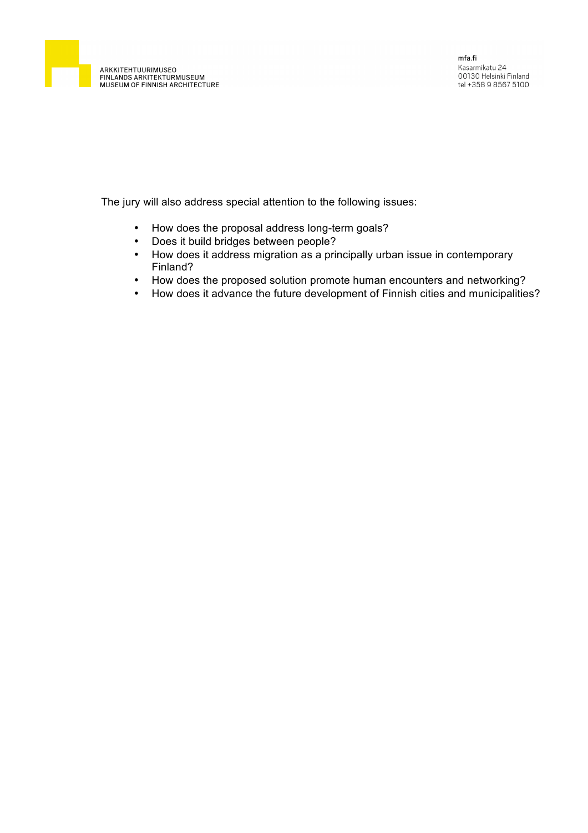

The jury will also address special attention to the following issues:

- How does the proposal address long-term goals?
- Does it build bridges between people?
- How does it address migration as a principally urban issue in contemporary Finland?
- How does the proposed solution promote human encounters and networking?
- How does it advance the future development of Finnish cities and municipalities?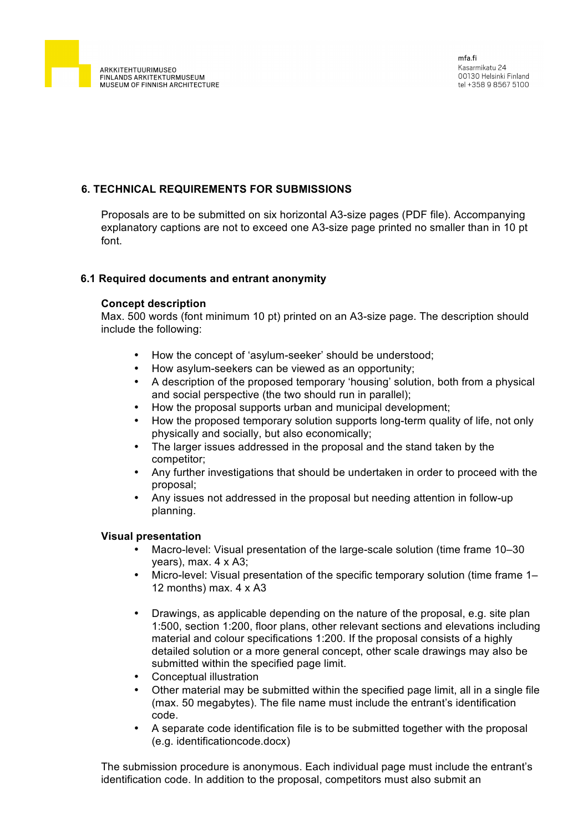

# **6. TECHNICAL REQUIREMENTS FOR SUBMISSIONS**

Proposals are to be submitted on six horizontal A3-size pages (PDF file). Accompanying explanatory captions are not to exceed one A3-size page printed no smaller than in 10 pt font.

#### **6.1 Required documents and entrant anonymity**

### **Concept description**

Max. 500 words (font minimum 10 pt) printed on an A3-size page. The description should include the following:

- How the concept of 'asylum-seeker' should be understood;
- How asylum-seekers can be viewed as an opportunity;
- A description of the proposed temporary 'housing' solution, both from a physical and social perspective (the two should run in parallel);
- How the proposal supports urban and municipal development;
- How the proposed temporary solution supports long-term quality of life, not only physically and socially, but also economically;
- The larger issues addressed in the proposal and the stand taken by the competitor;
- Any further investigations that should be undertaken in order to proceed with the proposal;
- Any issues not addressed in the proposal but needing attention in follow-up planning.

#### **Visual presentation**

- Macro-level: Visual presentation of the large-scale solution (time frame 10–30 years), max. 4 x A3;
- Micro-level: Visual presentation of the specific temporary solution (time frame 1– 12 months) max.  $4 \times A3$
- Drawings, as applicable depending on the nature of the proposal, e.g. site plan 1:500, section 1:200, floor plans, other relevant sections and elevations including material and colour specifications 1:200. If the proposal consists of a highly detailed solution or a more general concept, other scale drawings may also be submitted within the specified page limit.
- Conceptual illustration
- Other material may be submitted within the specified page limit, all in a single file (max. 50 megabytes). The file name must include the entrant's identification code.
- A separate code identification file is to be submitted together with the proposal (e.g. identificationcode.docx)

The submission procedure is anonymous. Each individual page must include the entrant's identification code. In addition to the proposal, competitors must also submit an